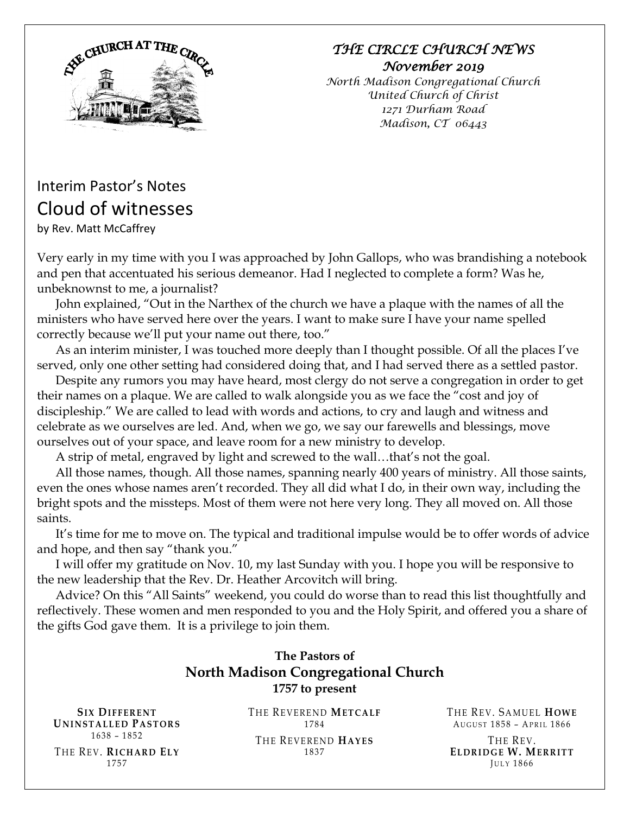

### *THE CIRCLE CHURCH NEWS November 2019*

*North Madison Congregational Church United Church of Christ 1271 Durham Road Madison, CT 06443*

# Interim Pastor's Notes Cloud of witnesses by Rev. Matt McCaffrey

Very early in my time with you I was approached by John Gallops, who was brandishing a notebook and pen that accentuated his serious demeanor. Had I neglected to complete a form? Was he, unbeknownst to me, a journalist?

John explained, "Out in the Narthex of the church we have a plaque with the names of all the ministers who have served here over the years. I want to make sure I have your name spelled correctly because we'll put your name out there, too."

As an interim minister, I was touched more deeply than I thought possible. Of all the places I've served, only one other setting had considered doing that, and I had served there as a settled pastor.

Despite any rumors you may have heard, most clergy do not serve a congregation in order to get their names on a plaque. We are called to walk alongside you as we face the "cost and joy of discipleship." We are called to lead with words and actions, to cry and laugh and witness and celebrate as we ourselves are led. And, when we go, we say our farewells and blessings, move ourselves out of your space, and leave room for a new ministry to develop.

A strip of metal, engraved by light and screwed to the wall…that's not the goal.

All those names, though. All those names, spanning nearly 400 years of ministry. All those saints, even the ones whose names aren't recorded. They all did what I do, in their own way, including the bright spots and the missteps. Most of them were not here very long. They all moved on. All those saints.

It's time for me to move on. The typical and traditional impulse would be to offer words of advice and hope, and then say "thank you."

I will offer my gratitude on Nov. 10, my last Sunday with you. I hope you will be responsive to the new leadership that the Rev. Dr. Heather Arcovitch will bring.

Advice? On this "All Saints" weekend, you could do worse than to read this list thoughtfully and reflectively. These women and men responded to you and the Holy Spirit, and offered you a share of the gifts God gave them. It is a privilege to join them.

### **The Pastors of North Madison Congregational Church 1757 to present**

 $SIX$  DIFFERENT **U N I N S T A L L E D PA S T O R S** 1638 – 1852 T H E RE V. **RI C H A R D EL Y** 1757

THE REVEREND **METCALF** 1784 THE REVEREND **HAYES** 1837

THE REV. SAMUEL HOWE AUGUST 1858 - APRIL 1866

THE REV. **EL D R I D G E W. ME R R IT T JULY 1866**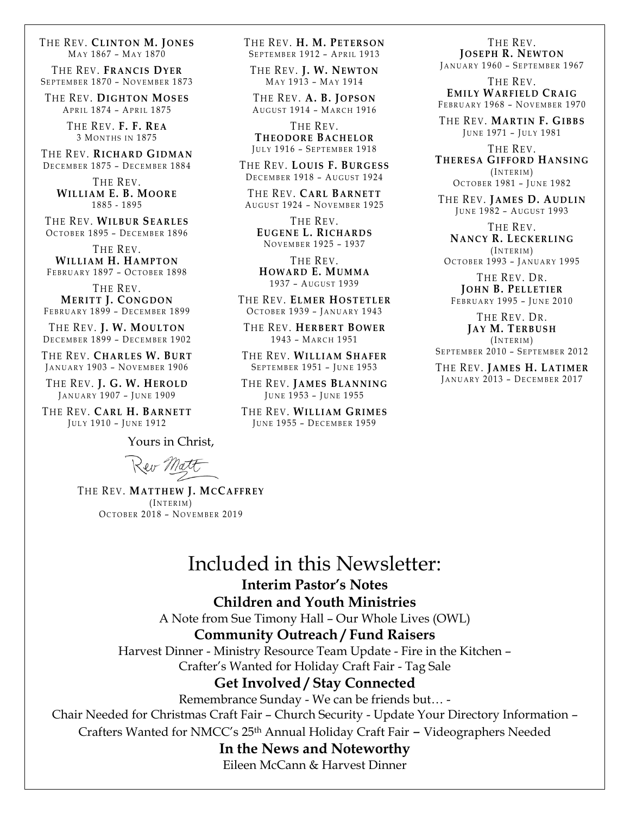THE REV. CLINTON **M.** JONES MAY 1867 - MAY 1870

THE REV. FRANCIS DYER SEPTEMBER 1870 - NOVEMBER 1873

**THE REV. DIGHTON MOSES** APRIL 1874 - APRIL 1875

> T H E RE V. **F. F. RE A** 3 MONTHS IN 1875

THE REV. RICHARD GIDMAN DECEMBER 1875 - DECEMBER 1884

> THE REV. **WI L L I A M E. B. MO O R E** 1885 - 1895

THE REV. WILBUR SEARLES OCTOBER 1895 - DECEMBER 1896

THE REV. **WILLIAM H. HAMPTON** FEBRUARY 1897 - OCTOBER 1898

THE REV. **MERITT J. CONGDON** FEBRUARY 1899 - DECEMBER 1899

THE REV. **J. W. MOULTON** DECEMBER 1899 - DECEMBER 1902

THE REV. CHARLES W. BURT JANUARY 1903 - NOVEMBER 1906

THE REV. **J. G. W. HEROLD** JANUARY 1907 - JUNE 1909

THE REV. CARL **H. BARNETT** JULY 1910 - JUNE 1912

Yours in Christ,

Reir Matt

T H E RE V. **MA T T H E W J. MCCA FF R E Y**  $(INTERIM)$ OCTOBER 2018 - NOVEMBER 2019

#### THE REV. **H. M. PETERSON** SEPTEMBER 1912 - APRIL 1913

T H E RE V. **J. W. NE W T O N** MAY 1913 - MAY 1914

THE REV. **A. B. JOPSON** AUGUST 1914 - MARCH 1916

THE REV. **T HE O D O R E BA C H E L O R** JULY 1916 - SEPTEMBER 1918

T H E RE V. **L O U IS F. BU R G E S S** DECEMBER 1918 - AUGUST 1924

THE REV. CARL BARNETT AUGUST 1924 - NOVEMBER 1925

THE REV. **EU G E N E L. RI C H A R D S** NOVEMBER 1925 - 1937

THE REV. **HO W A R D E. MU M M A** 1937 - August 1939

THE REV. ELMER HOSTETLER OCTOBER 1939 - JANUARY 1943

 $THE REV. HERBERT BOWER$ 1943 – MA R C H 1951

THE REV. WILLIAM SHAFER SEPTEMBER 1951 - JUNE 1953

THE REV. JAMES BLANNING JUNE 1953 - JUNE 1955

THE REV. WILLIAM GRIMES JUNE 1955 - DECEMBER 1959

THE REV. **J O S E P H R. NE W T O N**

JANUARY 1960 - SEPTEMBER 1967

THE REV. **EMILY WARFIELD CRAIG** FEBRUARY 1968 - NOVEMBER 1970

T H E RE V. **MA RT I N F. GIB B S** JUNE 1971 - JULY 1981

THE REV. **T HE R E S A GI F F O R D HA N S I N G**  $(INTERIM)$ 

OCTOBER 1981 - JUNE 1982

THE REV. JAMES D. AUDLIN JUNE 1982 - AUGUST 1993

THE REV. **NA N C Y R. LE CK E R L I N G**  $(INTERIM)$ OCTOBER 1993 - JANUARY 1995

THE REV. DR. **J OHN B. PE L L E T IE R** FEBRUARY 1995 - JUNE 2010

THE REV. DR. **JA Y M. TE RB U S H**  $($ INTERIM $)$ 

SEPTEMBER 2010 - SEPTEMBER 2012

T H E RE V. **JA M E S H. LA T I M E R** JANUARY 2013 - DECEMBER 2017

# Included in this Newsletter:

**Interim Pastor's Notes**

#### **Children and Youth Ministries**

A Note from Sue Timony Hall – Our Whole Lives (OWL)

#### **Community Outreach / Fund Raisers**

Harvest Dinner - Ministry Resource Team Update - Fire in the Kitchen –

Crafter's Wanted for Holiday Craft Fair - Tag Sale

#### **Get Involved / Stay Connected**

Remembrance Sunday - We can be friends but… -

Chair Needed for Christmas Craft Fair – Church Security - Update Your Directory Information –

Crafters Wanted for NMCC's 25th Annual Holiday Craft Fair – Videographers Needed

#### **In the News and Noteworthy**

Eileen McCann & Harvest Dinner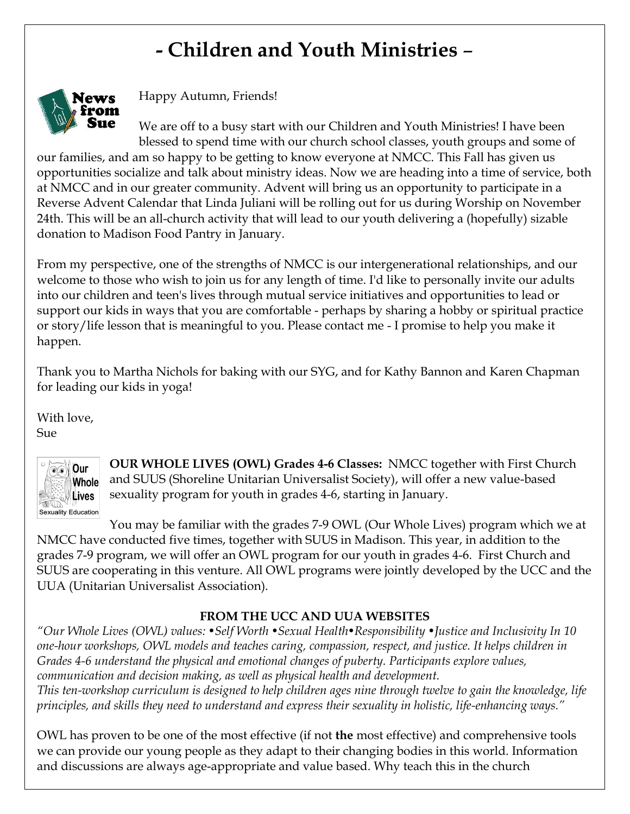# **- Children and Youth Ministries** –



Happy Autumn, Friends!

We are off to a busy start with our Children and Youth Ministries! I have been blessed to spend time with our church school classes, youth groups and some of

our families, and am so happy to be getting to know everyone at NMCC. This Fall has given us opportunities socialize and talk about ministry ideas. Now we are heading into a time of service, both at NMCC and in our greater community. Advent will bring us an opportunity to participate in a Reverse Advent Calendar that Linda Juliani will be rolling out for us during Worship on November 24th. This will be an all-church activity that will lead to our youth delivering a (hopefully) sizable donation to Madison Food Pantry in January.

From my perspective, one of the strengths of NMCC is our intergenerational relationships, and our welcome to those who wish to join us for any length of time. I'd like to personally invite our adults into our children and teen's lives through mutual service initiatives and opportunities to lead or support our kids in ways that you are comfortable - perhaps by sharing a hobby or spiritual practice or story/life lesson that is meaningful to you. Please contact me - I promise to help you make it happen.

Thank you to Martha Nichols for baking with our SYG, and for Kathy Bannon and Karen Chapman for leading our kids in yoga!

With love,

Sue



**OUR WHOLE LIVES (OWL) Grades 4-6 Classes:** NMCC together with First Church and SUUS (Shoreline Unitarian Universalist Society), will offer a new value-based sexuality program for youth in grades 4-6, starting in January.

You may be familiar with the grades 7-9 OWL (Our Whole Lives) program which we at NMCC have conducted five times, together with SUUS in Madison. This year, in addition to the grades 7-9 program, we will offer an OWL program for our youth in grades 4-6. First Church and SUUS are cooperating in this venture. All OWL programs were jointly developed by the UCC and the UUA (Unitarian Universalist Association).

### **FROM THE UCC AND UUA WEBSITES**

*"Our Whole Lives (OWL) values: •Self Worth •Sexual Health•Responsibility •Justice and Inclusivity In 10 one-hour workshops, OWL models and teaches caring, compassion, respect, and justice. It helps children in Grades 4-6 understand the physical and emotional changes of puberty. Participants explore values, communication and decision making, as well as physical health and development. This ten-workshop curriculum is designed to help children ages nine through twelve to gain the knowledge, life principles, and skills they need to understand and express their sexuality in holistic, life-enhancing ways."*

OWL has proven to be one of the most effective (if not **the** most effective) and comprehensive tools we can provide our young people as they adapt to their changing bodies in this world. Information and discussions are always age-appropriate and value based. Why teach this in the church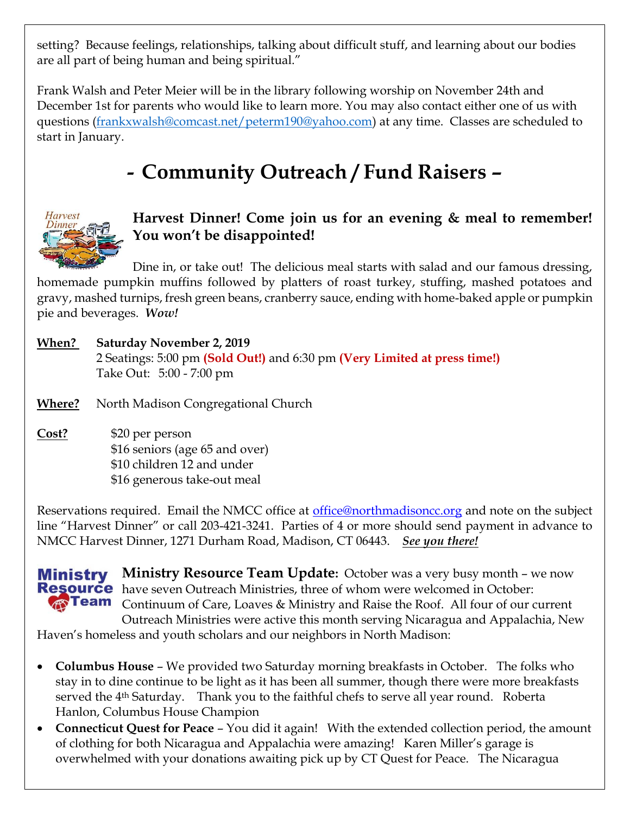setting? Because feelings, relationships, talking about difficult stuff, and learning about our bodies are all part of being human and being spiritual."

Frank Walsh and Peter Meier will be in the library following worship on November 24th and December 1st for parents who would like to learn more. You may also contact either one of us with questions [\(frankxwalsh@comcast.net/peterm190@yahoo.com\)](mailto:frankxwalsh@comcast.net/peterm190@yahoo.com) at any time. Classes are scheduled to start in January.

# **- Community Outreach / Fund Raisers –**



## **Harvest Dinner! Come join us for an evening & meal to remember! You won't be disappointed!**

Dine in, or take out! The delicious meal starts with salad and our famous dressing, homemade pumpkin muffins followed by platters of roast turkey, stuffing, mashed potatoes and gravy, mashed turnips, fresh green beans, cranberry sauce, ending with home-baked apple or pumpkin pie and beverages. *Wow!*

**When? Saturday November 2, 2019** 2 Seatings: 5:00 pm **(Sold Out!)** and 6:30 pm **(Very Limited at press time!)** Take Out: 5:00 - 7:00 pm

**Where?** North Madison Congregational Church

**Cost?** \$20 per person \$16 seniors (age 65 and over) \$10 children 12 and under \$16 generous take-out meal

Reservations required. Email the NMCC office at [office@northmadisoncc.org](file:///C:/Users/NMCC-staff/AppData/Local/Microsoft/Windows/Temporary%20Internet%20Files/Content.Outlook/LNI5DKBB/_blank) and note on the subject line "Harvest Dinner" or call 203-421-3241. Parties of 4 or more should send payment in advance to NMCC Harvest Dinner, 1271 Durham Road, Madison, CT 06443. *See you there!*

**Ministry Resource Team Update:** October was a very busy month – we now Ministry **Resource** have seven Outreach Ministries, three of whom were welcomed in October: **Team** Continuum of Care, Loaves & Ministry and Raise the Roof. All four of our current Outreach Ministries were active this month serving Nicaragua and Appalachia, New

Haven's homeless and youth scholars and our neighbors in North Madison:

- **Columbus House** We provided two Saturday morning breakfasts in October. The folks who stay in to dine continue to be light as it has been all summer, though there were more breakfasts served the 4<sup>th</sup> Saturday. Thank you to the faithful chefs to serve all year round. Roberta Hanlon, Columbus House Champion
- **Connecticut Quest for Peace**  You did it again! With the extended collection period, the amount of clothing for both Nicaragua and Appalachia were amazing! Karen Miller's garage is overwhelmed with your donations awaiting pick up by CT Quest for Peace. The Nicaragua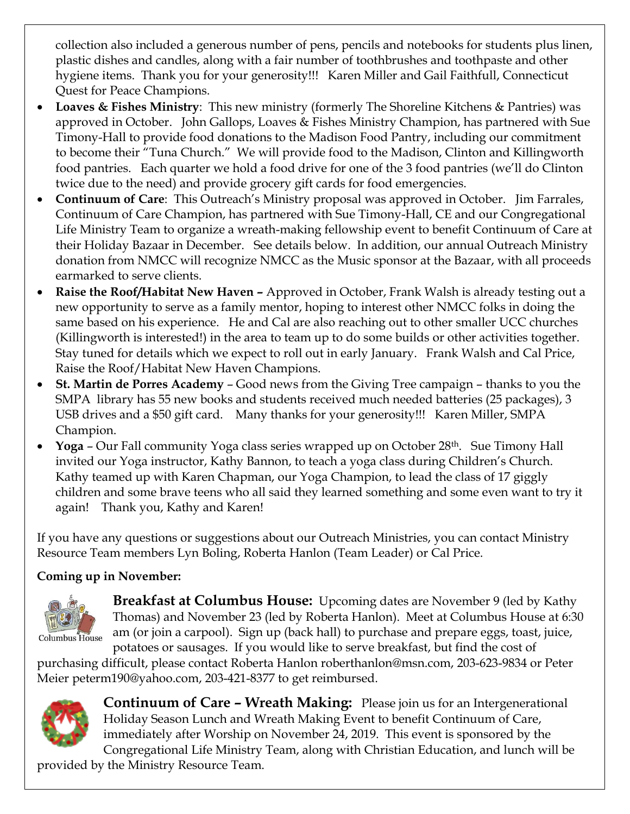collection also included a generous number of pens, pencils and notebooks for students plus linen, plastic dishes and candles, along with a fair number of toothbrushes and toothpaste and other hygiene items. Thank you for your generosity!!! Karen Miller and Gail Faithfull, Connecticut Quest for Peace Champions.

- **Loaves & Fishes Ministry**: This new ministry (formerly The Shoreline Kitchens & Pantries) was approved in October. John Gallops, Loaves & Fishes Ministry Champion, has partnered with Sue Timony-Hall to provide food donations to the Madison Food Pantry, including our commitment to become their "Tuna Church." We will provide food to the Madison, Clinton and Killingworth food pantries. Each quarter we hold a food drive for one of the 3 food pantries (we'll do Clinton twice due to the need) and provide grocery gift cards for food emergencies.
- **Continuum of Care**: This Outreach's Ministry proposal was approved in October. Jim Farrales, Continuum of Care Champion, has partnered with Sue Timony-Hall, CE and our Congregational Life Ministry Team to organize a wreath-making fellowship event to benefit Continuum of Care at their Holiday Bazaar in December. See details below. In addition, our annual Outreach Ministry donation from NMCC will recognize NMCC as the Music sponsor at the Bazaar, with all proceeds earmarked to serve clients.
- **Raise the Roof/Habitat New Haven –** Approved in October, Frank Walsh is already testing out a new opportunity to serve as a family mentor, hoping to interest other NMCC folks in doing the same based on his experience. He and Cal are also reaching out to other smaller UCC churches (Killingworth is interested!) in the area to team up to do some builds or other activities together. Stay tuned for details which we expect to roll out in early January. Frank Walsh and Cal Price, Raise the Roof/Habitat New Haven Champions.
- **St. Martin de Porres Academy** Good news from the Giving Tree campaign thanks to you the SMPA library has 55 new books and students received much needed batteries (25 packages), 3 USB drives and a \$50 gift card. Many thanks for your generosity!!! Karen Miller, SMPA Champion.
- **Yoga** Our Fall community Yoga class series wrapped up on October 28<sup>th</sup>. Sue Timony Hall invited our Yoga instructor, Kathy Bannon, to teach a yoga class during Children's Church. Kathy teamed up with Karen Chapman, our Yoga Champion, to lead the class of 17 giggly children and some brave teens who all said they learned something and some even want to try it again! Thank you, Kathy and Karen!

If you have any questions or suggestions about our Outreach Ministries, you can contact Ministry Resource Team members Lyn Boling, Roberta Hanlon (Team Leader) or Cal Price.

### **Coming up in November:**



**Breakfast at Columbus House:** Upcoming dates are November 9 (led by Kathy Thomas) and November 23 (led by Roberta Hanlon). Meet at Columbus House at 6:30 am (or join a carpool). Sign up (back hall) to purchase and prepare eggs, toast, juice, potatoes or sausages. If you would like to serve breakfast, but find the cost of

purchasing difficult, please contact Roberta Hanlon roberthanlon@msn.com, 203-623-9834 or Peter Meier peterm190@yahoo.com, 203-421-8377 to get reimbursed.



**Continuum of Care – Wreath Making:** Please join us for an Intergenerational Holiday Season Lunch and Wreath Making Event to benefit Continuum of Care, immediately after Worship on November 24, 2019. This event is sponsored by the Congregational Life Ministry Team, along with Christian Education, and lunch will be

provided by the Ministry Resource Team.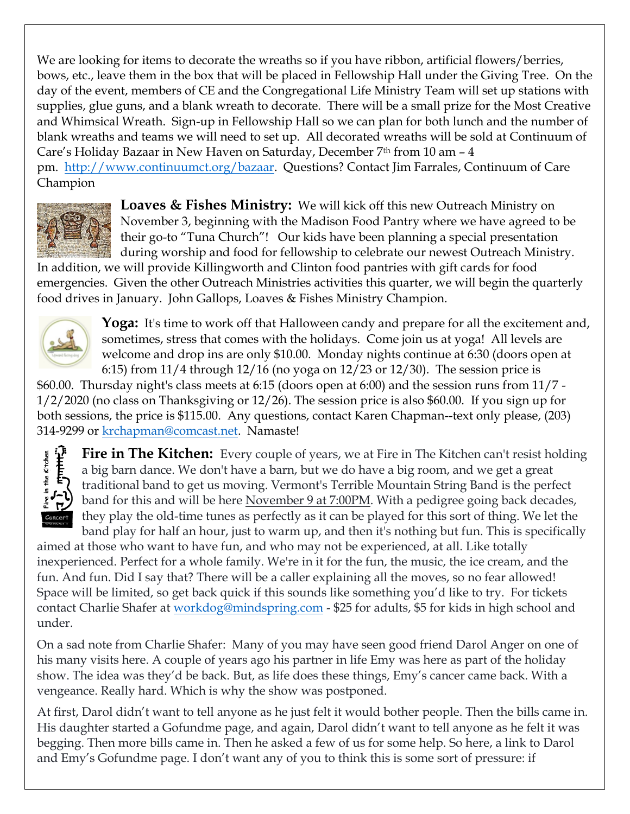We are looking for items to decorate the wreaths so if you have ribbon, artificial flowers/berries, bows, etc., leave them in the box that will be placed in Fellowship Hall under the Giving Tree. On the day of the event, members of CE and the Congregational Life Ministry Team will set up stations with supplies, glue guns, and a blank wreath to decorate. There will be a small prize for the Most Creative and Whimsical Wreath. Sign-up in Fellowship Hall so we can plan for both lunch and the number of blank wreaths and teams we will need to set up. All decorated wreaths will be sold at Continuum of Care's Holiday Bazaar in New Haven on Saturday, December  $7<sup>th</sup>$  from 10 am  $-4$ pm. [http://www.continuumct.org/bazaar.](http://www.continuumct.org/bazaar) Questions? Contact Jim Farrales, Continuum of Care Champion



**Loaves & Fishes Ministry:** We will kick off this new Outreach Ministry on November 3, beginning with the Madison Food Pantry where we have agreed to be their go-to "Tuna Church"! Our kids have been planning a special presentation during worship and food for fellowship to celebrate our newest Outreach Ministry.

In addition, we will provide Killingworth and Clinton food pantries with gift cards for food emergencies. Given the other Outreach Ministries activities this quarter, we will begin the quarterly food drives in January. John Gallops, Loaves & Fishes Ministry Champion.



**Yoga:** It's time to work off that Halloween candy and prepare for all the excitement and, sometimes, stress that comes with the holidays. Come join us at yoga! All levels are welcome and drop ins are only \$10.00. Monday nights continue at 6:30 (doors open at 6:15) from  $11/4$  through  $12/16$  (no yoga on  $12/23$  or  $12/30$ ). The session price is

\$60.00. Thursday night's class meets at 6:15 (doors open at 6:00) and the session runs from 11/7 - 1/2/2020 (no class on Thanksgiving or 12/26). The session price is also \$60.00. If you sign up for both sessions, the price is \$115.00. Any questions, contact Karen Chapman--text only please, (203) 314-9299 or [krchapman@comcast.net.](mailto:krchapman@comcast.net) Namaste!



**Fire in The Kitchen:** Every couple of years, we at Fire in The Kitchen can't resist holding a big barn dance. We don't have a barn, but we do have a big room, and we get a great traditional band to get us moving. Vermont's Terrible Mountain String Band is the perfect band for this and will be here November 9 at 7:00PM. With a pedigree going back decades, they play the old-time tunes as perfectly as it can be played for this sort of thing. We let the band play for half an hour, just to warm up, and then it's nothing but fun. This is specifically

aimed at those who want to have fun, and who may not be experienced, at all. Like totally inexperienced. Perfect for a whole family. We're in it for the fun, the music, the ice cream, and the fun. And fun. Did I say that? There will be a caller explaining all the moves, so no fear allowed! Space will be limited, so get back quick if this sounds like something you'd like to try. For tickets contact Charlie Shafer at [workdog@mindspring.com](mailto:workdog@mindspring.com) - \$25 for adults, \$5 for kids in high school and under.

On a sad note from Charlie Shafer: Many of you may have seen good friend Darol Anger on one of his many visits here. A couple of years ago his partner in life Emy was here as part of the holiday show. The idea was they'd be back. But, as life does these things, Emy's cancer came back. With a vengeance. Really hard. Which is why the show was postponed.

At first, Darol didn't want to tell anyone as he just felt it would bother people. Then the bills came in. His daughter started a Gofundme page, and again, Darol didn't want to tell anyone as he felt it was begging. Then more bills came in. Then he asked a few of us for some help. So here, a link to Darol and Emy's Gofundme page. I don't want any of you to think this is some sort of pressure: if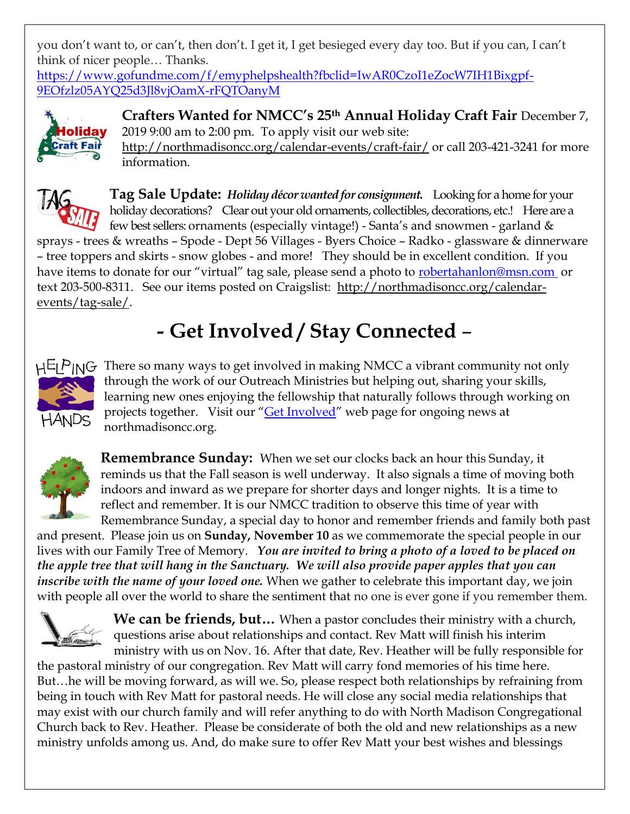you don't want to, or can't, then don't. I get it, I get besieged every day too. But if you can, I can't think of nicer people… Thanks.

[https://www.gofundme.com/f/emyphelpshealth?fbclid=IwAR0CzoI1eZocW7IH1Bixgpf-](https://www.gofundme.com/f/emyphelpshealth?fbclid=IwAR0CzoI1eZocW7IH1Bixgpf-9EOfzlz05AYQ25d3Jl8vjOamX-rFQTOanyM)[9EOfzlz05AYQ25d3Jl8vjOamX-rFQTOanyM](https://www.gofundme.com/f/emyphelpshealth?fbclid=IwAR0CzoI1eZocW7IH1Bixgpf-9EOfzlz05AYQ25d3Jl8vjOamX-rFQTOanyM)



**Crafters Wanted for NMCC's 25th Annual Holiday Craft Fair** December 7, 2019 9:00 am to 2:00 pm. To apply visit our web site: <http://northmadisoncc.org/calendar-events/craft-fair/> or call 203-421-3241 for more information.



**Tag Sale Update:** *Holiday décor wanted for consignment.* Looking for a home for your holiday decorations? Clear out your old ornaments, collectibles, decorations, etc.! Here are a few best sellers: ornaments (especially vintage!) - Santa's and snowmen - garland &

sprays - trees & wreaths – Spode - Dept 56 Villages - Byers Choice – Radko - glassware & dinnerware – tree toppers and skirts - snow globes - and more! They should be in excellent condition. If you have items to donate for our "virtual" tag sale, please send a photo to [robertahanlon@msn.com](mailto:robertahanlon@msn.com) or text 203-500-8311. See our items posted on Craigslist: [http://northmadisoncc.org/calendar](http://northmadisoncc.org/calendar-events/tag-sale/)[events/tag-sale/.](http://northmadisoncc.org/calendar-events/tag-sale/)

# **- Get Involved / Stay Connected** –



 $H^{\perp}P$   $N^{\perp}$  There so many ways to get involved in making NMCC a vibrant community not only through the work of our Outreach Ministries but helping out, sharing your skills, learning new ones enjoying the fellowship that naturally follows through working on projects together. Visit our "*[Get Involved](http://northmadisoncc.org/get-involved/)*" web page for ongoing news at northmadisoncc.org.



**Remembrance Sunday:** When we set our clocks back an hour this Sunday, it reminds us that the Fall season is well underway. It also signals a time of moving both indoors and inward as we prepare for shorter days and longer nights. It is a time to reflect and remember. It is our NMCC tradition to observe this time of year with Remembrance Sunday, a special day to honor and remember friends and family both past

and present. Please join us on **Sunday, November 10** as we commemorate the special people in our lives with our Family Tree of Memory. *You are invited to bring a photo of a loved to be placed on the apple tree that will hang in the Sanctuary. We will also provide paper apples that you can inscribe with the name of your loved one.* When we gather to celebrate this important day, we join with people all over the world to share the sentiment that no one is ever gone if you remember them.



**We can be friends, but…** When a pastor concludes their ministry with a church, questions arise about relationships and contact. Rev Matt will finish his interim ministry with us on Nov. 16. After that date, Rev. Heather will be fully responsible for

the pastoral ministry of our congregation. Rev Matt will carry fond memories of his time here. But…he will be moving forward, as will we. So, please respect both relationships by refraining from being in touch with Rev Matt for pastoral needs. He will close any social media relationships that may exist with our church family and will refer anything to do with North Madison Congregational Church back to Rev. Heather. Please be considerate of both the old and new relationships as a new ministry unfolds among us. And, do make sure to offer Rev Matt your best wishes and blessings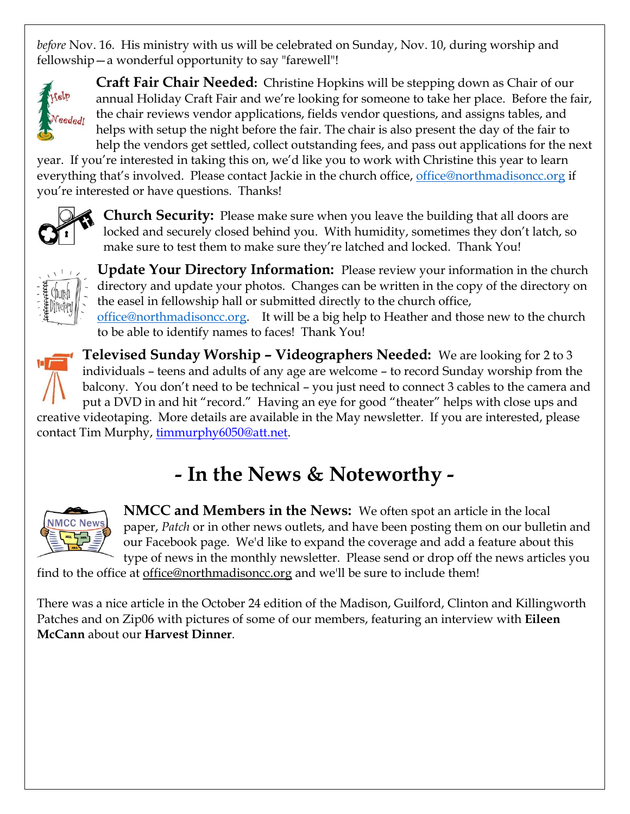*before* Nov. 16. His ministry with us will be celebrated on Sunday, Nov. 10, during worship and fellowship—a wonderful opportunity to say "farewell"!



**Craft Fair Chair Needed:** Christine Hopkins will be stepping down as Chair of our annual Holiday Craft Fair and we're looking for someone to take her place. Before the fair, the chair reviews vendor applications, fields vendor questions, and assigns tables, and helps with setup the night before the fair. The chair is also present the day of the fair to help the vendors get settled, collect outstanding fees, and pass out applications for the next

year. If you're interested in taking this on, we'd like you to work with Christine this year to learn everything that's involved. Please contact Jackie in the church office, [office@northmadisoncc.org](mailto:office@northmadisoncc.org) if you're interested or have questions. Thanks!



**Church Security:** Please make sure when you leave the building that all doors are locked and securely closed behind you. With humidity, sometimes they don't latch, so make sure to test them to make sure they're latched and locked. Thank You!



**Update Your Directory Information:** Please review your information in the church directory and update your photos. Changes can be written in the copy of the directory on the easel in fellowship hall or submitted directly to the church office, [office@northmadisoncc.org.](mailto:office@northmadisoncc.org) It will be a big help to Heather and those new to the church to be able to identify names to faces! Thank You!



**Televised Sunday Worship – Videographers Needed:** We are looking for 2 to 3 individuals – teens and adults of any age are welcome – to record Sunday worship from the balcony. You don't need to be technical – you just need to connect 3 cables to the camera and put a DVD in and hit "record." Having an eye for good "theater" helps with close ups and creative videotaping. More details are available in the May newsletter. If you are interested, please

contact Tim Murphy, [timmurphy6050@att.net.](mailto:timmurphy6050@att.net)

# **- In the News & Noteworthy -**



**NMCC and Members in the News:** We often spot an article in the local paper, *Patch* or in other news outlets, and have been posting them on our bulletin and our Facebook page. We'd like to expand the coverage and add a feature about this type of news in the monthly newsletter. Please send or drop off the news articles you

find to the office at <u>office@northmadisoncc.org</u> and we'll be sure to include them!

There was a nice article in the October 24 edition of the Madison, Guilford, Clinton and Killingworth Patches and on Zip06 with pictures of some of our members, featuring an interview with **Eileen McCann** about our **Harvest Dinner**.